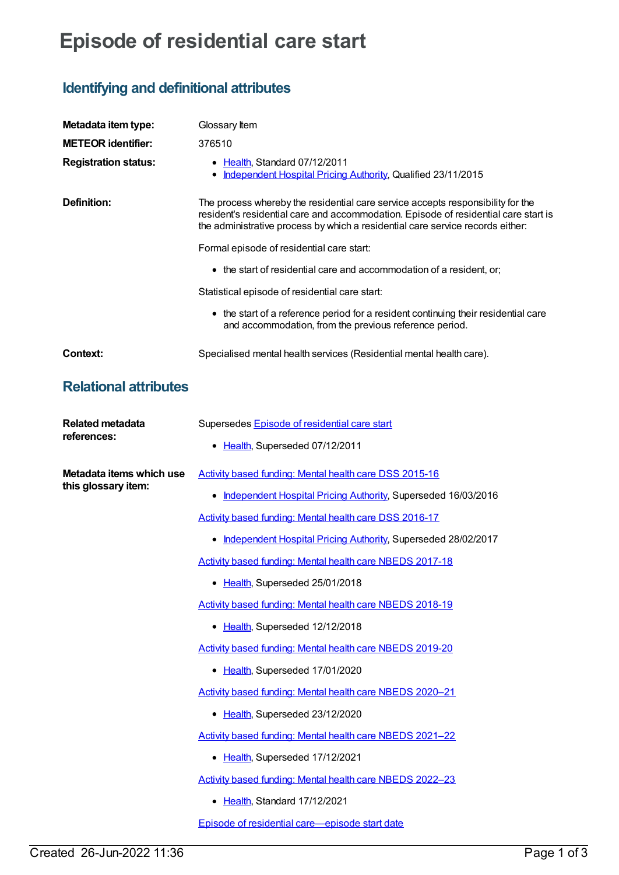## **Episode of residential care start**

## **Identifying and definitional attributes**

| Metadata item type:                    | Glossary Item                                                                                                                                                                                                                                            |
|----------------------------------------|----------------------------------------------------------------------------------------------------------------------------------------------------------------------------------------------------------------------------------------------------------|
| <b>METEOR</b> identifier:              | 376510                                                                                                                                                                                                                                                   |
| <b>Registration status:</b>            | • Health, Standard 07/12/2011<br>Independent Hospital Pricing Authority, Qualified 23/11/2015                                                                                                                                                            |
| Definition:                            | The process whereby the residential care service accepts responsibility for the<br>resident's residential care and accommodation. Episode of residential care start is<br>the administrative process by which a residential care service records either: |
|                                        | Formal episode of residential care start:                                                                                                                                                                                                                |
|                                        | • the start of residential care and accommodation of a resident, or;                                                                                                                                                                                     |
|                                        | Statistical episode of residential care start:                                                                                                                                                                                                           |
|                                        | • the start of a reference period for a resident continuing their residential care<br>and accommodation, from the previous reference period.                                                                                                             |
| Context:                               | Specialised mental health services (Residential mental health care).                                                                                                                                                                                     |
| <b>Relational attributes</b>           |                                                                                                                                                                                                                                                          |
| <b>Related metadata</b><br>references: | Supersedes Episode of residential care start                                                                                                                                                                                                             |

- [Health](https://meteor.aihw.gov.au/RegistrationAuthority/12), Superseded 07/12/2011
- **Metadata items which use this glossary item:**

Activity based funding: Mental health care DSS [2015-16](https://meteor.aihw.gov.au/content/575015)

• [Independent](https://meteor.aihw.gov.au/RegistrationAuthority/3) Hospital Pricing Authority, Superseded 16/03/2016

Activity based funding: Mental health care DSS [2016-17](https://meteor.aihw.gov.au/content/613880)

• [Independent](https://meteor.aihw.gov.au/RegistrationAuthority/3) Hospital Pricing Authority, Superseded 28/02/2017

Activity based funding: Mental health care NBEDS [2017-18](https://meteor.aihw.gov.au/content/639992)

• [Health](https://meteor.aihw.gov.au/RegistrationAuthority/12), Superseded 25/01/2018

Activity based funding: Mental health care NBEDS [2018-19](https://meteor.aihw.gov.au/content/676150)

• [Health](https://meteor.aihw.gov.au/RegistrationAuthority/12), Superseded 12/12/2018

Activity based funding: Mental health care NBEDS [2019-20](https://meteor.aihw.gov.au/content/699151)

• [Health](https://meteor.aihw.gov.au/RegistrationAuthority/12), Superseded 17/01/2020

Activity based funding: Mental health care NBEDS [2020–21](https://meteor.aihw.gov.au/content/715671)

• [Health](https://meteor.aihw.gov.au/RegistrationAuthority/12), Superseded 23/12/2020

Activity based funding: Mental health care NBEDS [2021–22](https://meteor.aihw.gov.au/content/735108)

• [Health](https://meteor.aihw.gov.au/RegistrationAuthority/12), Superseded 17/12/2021

Activity based funding: Mental health care NBEDS [2022–23](https://meteor.aihw.gov.au/content/742188)

• [Health](https://meteor.aihw.gov.au/RegistrationAuthority/12), Standard 17/12/2021

Episode of residential [care—episode](https://meteor.aihw.gov.au/content/534046) start date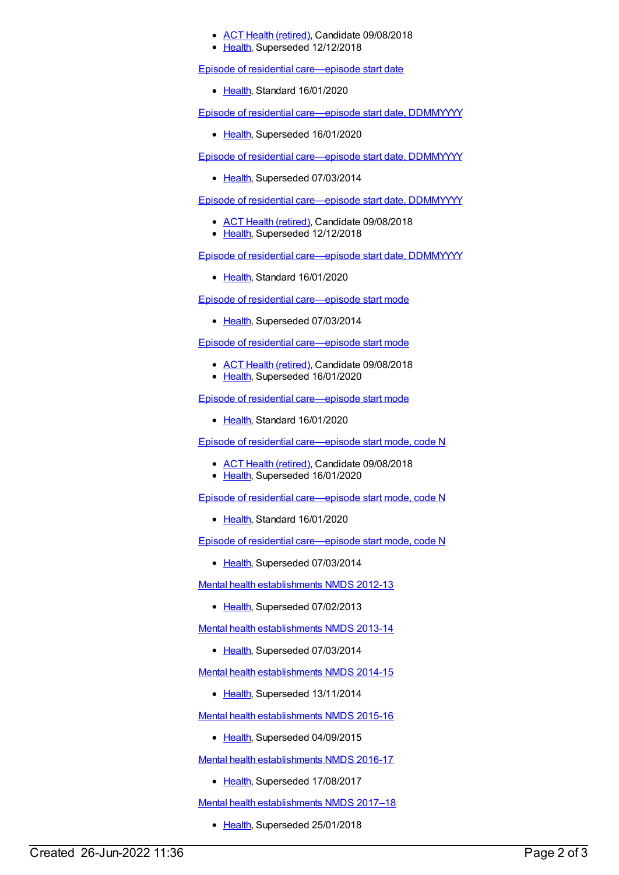- ACT Health [\(retired\)](https://meteor.aihw.gov.au/RegistrationAuthority/9), Candidate 09/08/2018
- [Health](https://meteor.aihw.gov.au/RegistrationAuthority/12), Superseded 12/12/2018

Episode of residential [care—episode](https://meteor.aihw.gov.au/content/723210) start date

• [Health](https://meteor.aihw.gov.au/RegistrationAuthority/12), Standard 16/01/2020

Episode of residential [care—episode](https://meteor.aihw.gov.au/content/707514) start date, DDMMYYYY

• [Health](https://meteor.aihw.gov.au/RegistrationAuthority/12), Superseded 16/01/2020

Episode of residential [care—episode](https://meteor.aihw.gov.au/content/417636) start date, DDMMYYYY

• [Health](https://meteor.aihw.gov.au/RegistrationAuthority/12), Superseded 07/03/2014

Episode of residential [care—episode](https://meteor.aihw.gov.au/content/534048) start date, DDMMYYYY

- ACT Health [\(retired\)](https://meteor.aihw.gov.au/RegistrationAuthority/9), Candidate 09/08/2018
- [Health](https://meteor.aihw.gov.au/RegistrationAuthority/12), Superseded 12/12/2018

Episode of residential [care—episode](https://meteor.aihw.gov.au/content/723194) start date, DDMMYYYY

• [Health](https://meteor.aihw.gov.au/RegistrationAuthority/12), Standard 16/01/2020

Episode of residential [care—episode](https://meteor.aihw.gov.au/content/417615) start mode

• [Health](https://meteor.aihw.gov.au/RegistrationAuthority/12), Superseded 07/03/2014

Episode of residential [care—episode](https://meteor.aihw.gov.au/content/533526) start mode

- ACT Health [\(retired\)](https://meteor.aihw.gov.au/RegistrationAuthority/9), Candidate 09/08/2018
- [Health](https://meteor.aihw.gov.au/RegistrationAuthority/12), Superseded 16/01/2020

Episode of residential [care—episode](https://meteor.aihw.gov.au/content/723216) start mode

• [Health](https://meteor.aihw.gov.au/RegistrationAuthority/12), Standard 16/01/2020

Episode of residential [care—episode](https://meteor.aihw.gov.au/content/525026) start mode, code N

- ACT Health [\(retired\)](https://meteor.aihw.gov.au/RegistrationAuthority/9), Candidate 09/08/2018
- [Health](https://meteor.aihw.gov.au/RegistrationAuthority/12), Superseded 16/01/2020

Episode of residential [care—episode](https://meteor.aihw.gov.au/content/723196) start mode, code N

• [Health](https://meteor.aihw.gov.au/RegistrationAuthority/12), Standard 16/01/2020

Episode of residential [care—episode](https://meteor.aihw.gov.au/content/417521) start mode, code N

• [Health](https://meteor.aihw.gov.au/RegistrationAuthority/12), Superseded 07/03/2014

Mental health [establishments](https://meteor.aihw.gov.au/content/468195) NMDS 2012-13

• [Health](https://meteor.aihw.gov.au/RegistrationAuthority/12), Superseded 07/02/2013

Mental health [establishments](https://meteor.aihw.gov.au/content/493652) NMDS 2013-14

• [Health](https://meteor.aihw.gov.au/RegistrationAuthority/12), Superseded 07/03/2014

Mental health [establishments](https://meteor.aihw.gov.au/content/546889) NMDS 2014-15

• [Health](https://meteor.aihw.gov.au/RegistrationAuthority/12), Superseded 13/11/2014

Mental health [establishments](https://meteor.aihw.gov.au/content/565661) NMDS 2015-16

• [Health](https://meteor.aihw.gov.au/RegistrationAuthority/12), Superseded 04/09/2015

Mental health [establishments](https://meteor.aihw.gov.au/content/605829) NMDS 2016-17

• [Health](https://meteor.aihw.gov.au/RegistrationAuthority/12), Superseded 17/08/2017

Mental health [establishments](https://meteor.aihw.gov.au/content/645723) NMDS 2017–18

• [Health](https://meteor.aihw.gov.au/RegistrationAuthority/12), Superseded 25/01/2018